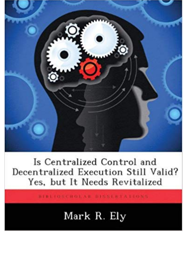

Is Centralized Control and Decentralized Execution Still Valid? Yes, but It Needs Revitalized

BIBLIOSCHOLAR DISSERTATIONS

## Mark R. Ely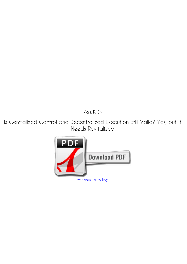*Mark R. Ely*

**Is Centralized Control and Decentralized Execution Still Valid? Yes, but It Needs Revitalized**

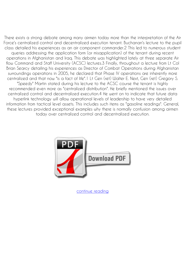There exists a strong debate among many airmen today more than the interpretation of the Air Force's centralized control and decentralized execution tenant. Buchanan's lecture to the pupil class detailed his experiences as an air component commander.2 This led to numerous student queries addressing the application form (or misapplication) of the tenant during recent operations in Afghanistan and Iraq. This debate was highlighted lately at three separate Air flow Command and Staff University (ACSC) lectures.3 Finally, throughout a lecture from Lt Col Brian Searcy detailing his experiences as Director of Combat Operations during Afghanistan surroundings operations in 2005, he declared that Phase IV operations are inherently more centralized and that now "is a fact of life".1 Lt Gen (ret) Walter E. Next, Gen (ret) Gregory S. "Speedy" Martin stated during his lecture to the ACSC course the tenant is highly recommended even more as "centralized distribution". He briefly mentioned the issues over centralized control and decentralized execution.4 He went on to indicate that future data hyperlink technology will allow operational levels of leadership to have very detailed information from tactical level assets. This includes such items as "gasoline readings". General, these lectures provided exceptional examples why there is normally confusion among airmen today over centralized control and decentralized execution.



[continue reading](http://bit.ly/2Tge8Fv)